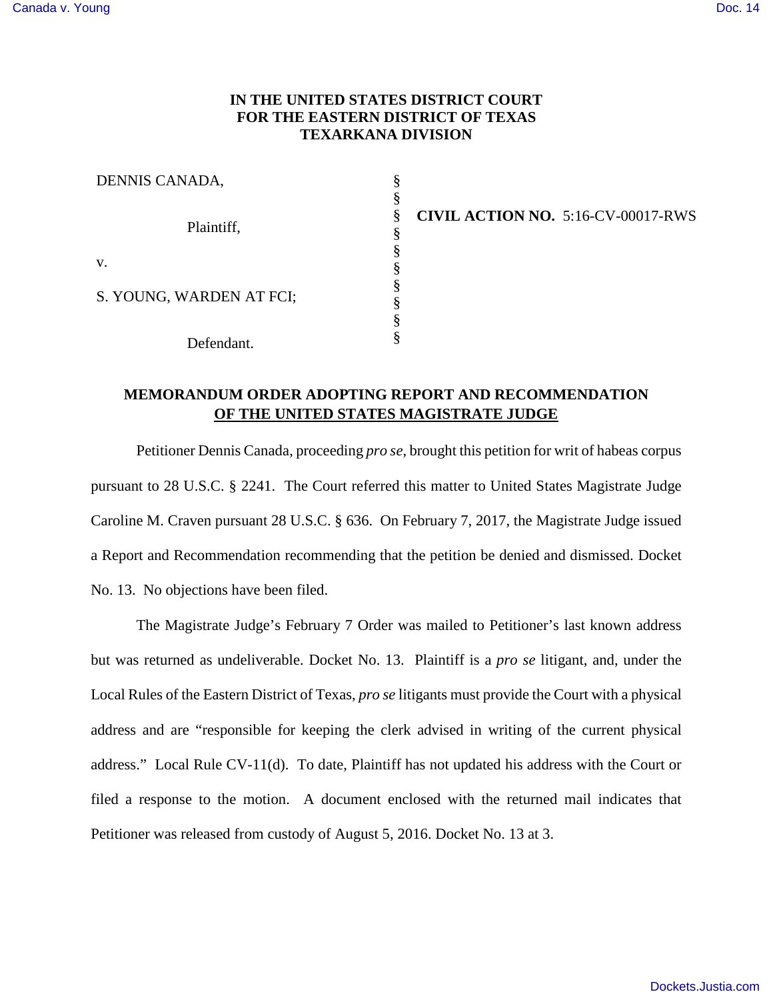## **IN THE UNITED STATES DISTRICT COURT FOR THE EASTERN DISTRICT OF TEXAS TEXARKANA DIVISION**

| DENNIS CANADA,           |  |
|--------------------------|--|
| Plaintiff,               |  |
|                          |  |
|                          |  |
|                          |  |
| V.                       |  |
| S. YOUNG, WARDEN AT FCI; |  |
|                          |  |
|                          |  |
| Defendant.               |  |

**CIVIL ACTION NO.** 5:16-CV-00017-RWS

## **MEMORANDUM ORDER ADOPTING REPORT AND RECOMMENDATION OF THE UNITED STATES MAGISTRATE JUDGE**

Petitioner Dennis Canada, proceeding *pro se*, brought this petition for writ of habeas corpus pursuant to 28 U.S.C. § 2241. The Court referred this matter to United States Magistrate Judge Caroline M. Craven pursuant 28 U.S.C. § 636. On February 7, 2017, the Magistrate Judge issued a Report and Recommendation recommending that the petition be denied and dismissed. Docket No. 13. No objections have been filed.

The Magistrate Judge's February 7 Order was mailed to Petitioner's last known address but was returned as undeliverable. Docket No. 13. Plaintiff is a *pro se* litigant, and, under the Local Rules of the Eastern District of Texas, *pro se* litigants must provide the Court with a physical address and are "responsible for keeping the clerk advised in writing of the current physical address." Local Rule CV-11(d). To date, Plaintiff has not updated his address with the Court or filed a response to the motion. A document enclosed with the returned mail indicates that Petitioner was released from custody of August 5, 2016. Docket No. 13 at 3.